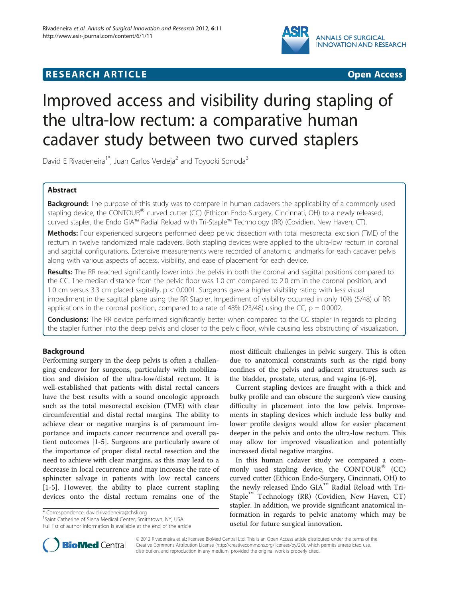

# **RESEARCH ARTICLE Example 2018 12:00 Department 2018 12:00 Department 2018 12:00 Department 2018 12:00 Department 2018 12:00 Department 2018 12:00 Department 2018 12:00 Department 2018 12:00 Department 2018 12:00 Departm**

# Improved access and visibility during stapling of the ultra-low rectum: a comparative human cadaver study between two curved staplers

David E Rivadeneira<sup>1\*</sup>, Juan Carlos Verdeja<sup>2</sup> and Toyooki Sonoda<sup>3</sup>

# Abstract

Background: The purpose of this study was to compare in human cadavers the applicability of a commonly used stapling device, the CONTOUR® curved cutter (CC) (Ethicon Endo-Surgery, Cincinnati, OH) to a newly released, curved stapler, the Endo GIA™ Radial Reload with Tri-Staple™ Technology (RR) (Covidien, New Haven, CT).

Methods: Four experienced surgeons performed deep pelvic dissection with total mesorectal excision (TME) of the rectum in twelve randomized male cadavers. Both stapling devices were applied to the ultra-low rectum in coronal and sagittal configurations. Extensive measurements were recorded of anatomic landmarks for each cadaver pelvis along with various aspects of access, visibility, and ease of placement for each device.

Results: The RR reached significantly lower into the pelvis in both the coronal and sagittal positions compared to the CC. The median distance from the pelvic floor was 1.0 cm compared to 2.0 cm in the coronal position, and 1.0 cm versus 3.3 cm placed sagitally,  $p < 0.0001$ . Surgeons gave a higher visibility rating with less visual impediment in the sagittal plane using the RR Stapler. Impediment of visibility occurred in only 10% (5/48) of RR applications in the coronal position, compared to a rate of 48% (23/48) using the CC,  $p = 0.0002$ .

Conclusions: The RR device performed significantly better when compared to the CC stapler in regards to placing the stapler further into the deep pelvis and closer to the pelvic floor, while causing less obstructing of visualization.

# Background

Performing surgery in the deep pelvis is often a challenging endeavor for surgeons, particularly with mobilization and division of the ultra-low/distal rectum. It is well-established that patients with distal rectal cancers have the best results with a sound oncologic approach such as the total mesorectal excision (TME) with clear circumferential and distal rectal margins. The ability to achieve clear or negative margins is of paramount importance and impacts cancer recurrence and overall patient outcomes [\[1](#page-5-0)-[5\]](#page-5-0). Surgeons are particularly aware of the importance of proper distal rectal resection and the need to achieve with clear margins, as this may lead to a decrease in local recurrence and may increase the rate of sphincter salvage in patients with low rectal cancers [[1-5](#page-5-0)]. However, the ability to place current stapling devices onto the distal rectum remains one of the

\* Correspondence: [david.rivadeneira@chsli.org](mailto:david.rivadeneira@chsli.org) <sup>1</sup>

<sup>1</sup>Saint Catherine of Siena Medical Center, Smithtown, NY, USA Full list of author information is available at the end of the article

most difficult challenges in pelvic surgery. This is often due to anatomical constraints such as the rigid bony confines of the pelvis and adjacent structures such as the bladder, prostate, uterus, and vagina [\[6](#page-5-0)-[9\]](#page-5-0).

Current stapling devices are fraught with a thick and bulky profile and can obscure the surgeon's view causing difficulty in placement into the low pelvis. Improvements in stapling devices which include less bulky and lower profile designs would allow for easier placement deeper in the pelvis and onto the ultra-low rectum. This may allow for improved visualization and potentially increased distal negative margins.

In this human cadaver study we compared a commonly used stapling device, the CONTOUR<sup>®</sup> (CC) curved cutter (Ethicon Endo-Surgery, Cincinnati, OH) to the newly released Endo GIA™ Radial Reload with Tri- $Staple<sup>™</sup> Technology (RR) (Covidien, New Haven, CT)$ stapler. In addition, we provide significant anatomical information in regards to pelvic anatomy which may be useful for future surgical innovation.



© 2012 Rivadeneira et al.; licensee BioMed Central Ltd. This is an Open Access article distributed under the terms of the Creative Commons Attribution License (<http://creativecommons.org/licenses/by/2.0>), which permits unrestricted use, distribution, and reproduction in any medium, provided the original work is properly cited.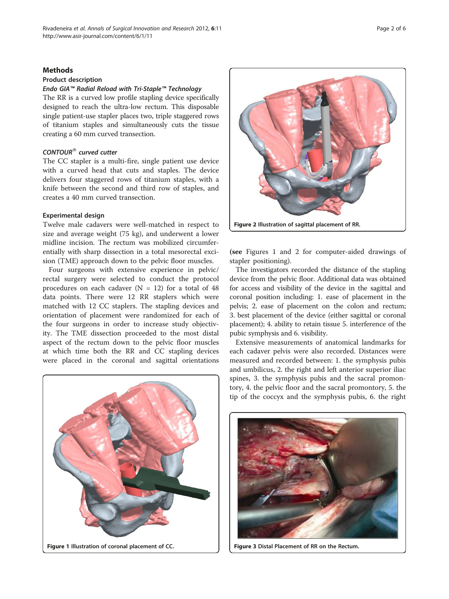## <span id="page-1-0"></span>**Methods**

#### Product description

## Endo GIA™ Radial Reload with Tri-Staple™ Technology

The RR is a curved low profile stapling device specifically designed to reach the ultra-low rectum. This disposable single patient-use stapler places two, triple staggered rows of titanium staples and simultaneously cuts the tissue creating a 60 mm curved transection.

# $COMTOUR^@$  curved cutter

The CC stapler is a multi-fire, single patient use device with a curved head that cuts and staples. The device delivers four staggered rows of titanium staples, with a knife between the second and third row of staples, and creates a 40 mm curved transection.

#### Experimental design

Twelve male cadavers were well-matched in respect to size and average weight (75 kg), and underwent a lower midline incision. The rectum was mobilized circumferentially with sharp dissection in a total mesorectal excision (TME) approach down to the pelvic floor muscles.

Four surgeons with extensive experience in pelvic/ rectal surgery were selected to conduct the protocol procedures on each cadaver  $(N = 12)$  for a total of 48 data points. There were 12 RR staplers which were matched with 12 CC staplers. The stapling devices and orientation of placement were randomized for each of the four surgeons in order to increase study objectivity. The TME dissection proceeded to the most distal aspect of the rectum down to the pelvic floor muscles at which time both the RR and CC stapling devices were placed in the coronal and sagittal orientations



Figure 2 Illustration of sagittal placement of RR.

(see Figures 1 and 2 for computer-aided drawings of stapler positioning).

The investigators recorded the distance of the stapling device from the pelvic floor. Additional data was obtained for access and visibility of the device in the sagittal and coronal position including: 1. ease of placement in the pelvis; 2. ease of placement on the colon and rectum; 3. best placement of the device (either sagittal or coronal placement); 4. ability to retain tissue 5. interference of the pubic symphysis and 6. visibility.

Extensive measurements of anatomical landmarks for each cadaver pelvis were also recorded. Distances were measured and recorded between: 1. the symphysis pubis and umbilicus, 2. the right and left anterior superior iliac spines, 3. the symphysis pubis and the sacral promontory, 4. the pelvic floor and the sacral promontory, 5. the tip of the coccyx and the symphysis pubis, 6. the right



Figure 3 Distal Placement of RR on the Rectum.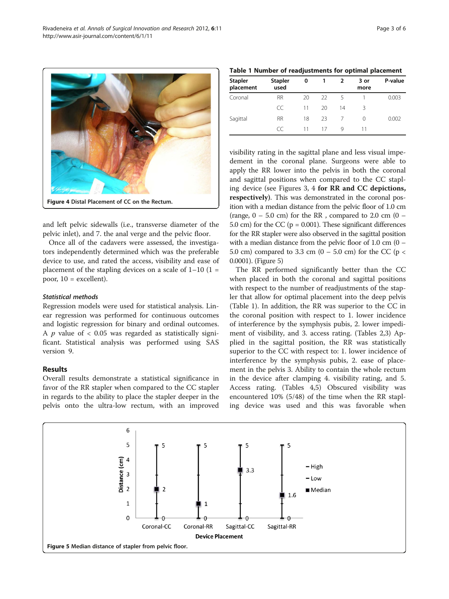

and left pelvic sidewalls (i.e., transverse diameter of the pelvic inlet), and 7. the anal verge and the pelvic floor.

Once all of the cadavers were assessed, the investigators independently determined which was the preferable device to use, and rated the access, visibility and ease of placement of the stapling devices on a scale of  $1-10$  ( $1=$ poor,  $10 =$  excellent).

#### Statistical methods

Regression models were used for statistical analysis. Linear regression was performed for continuous outcomes and logistic regression for binary and ordinal outcomes. A *p* value of  $\langle 0.05 \rangle$  was regarded as statistically significant. Statistical analysis was performed using SAS version 9.

#### Results

Overall results demonstrate a statistical significance in favor of the RR stapler when compared to the CC stapler in regards to the ability to place the stapler deeper in the pelvis onto the ultra-low rectum, with an improved

Table 1 Number of readjustments for optimal placement

| <b>Stapler</b><br>placement | <b>Stapler</b><br>used | 0  |      | $\overline{2}$ | 3 or<br>more     | P-value |
|-----------------------------|------------------------|----|------|----------------|------------------|---------|
| Coronal                     | <b>RR</b>              | 20 | $22$ | 5              |                  | 0.003   |
|                             | CC                     | 11 | 20   | 14             | Β                |         |
| Sagittal                    | <b>RR</b>              | 18 | 23   |                | $\left( \right)$ | 0.002   |
|                             | CC                     | 11 | 17   | q              | 11               |         |

visibility rating in the sagittal plane and less visual impedement in the coronal plane. Surgeons were able to apply the RR lower into the pelvis in both the coronal and sagittal positions when compared to the CC stapling device (see Figures [3,](#page-1-0) 4 for RR and CC depictions, respectively). This was demonstrated in the coronal position with a median distance from the pelvic floor of 1.0 cm (range,  $0 - 5.0$  cm) for the RR, compared to 2.0 cm  $(0 -$ 5.0 cm) for the CC ( $p = 0.001$ ). These significant differences for the RR stapler were also observed in the sagittal position with a median distance from the pelvic floor of  $1.0 \text{ cm } (0 -$ 5.0 cm) compared to 3.3 cm (0 – 5.0 cm) for the CC (p  $\lt$ 0.0001). (Figure 5)

The RR performed significantly better than the CC when placed in both the coronal and sagittal positions with respect to the number of readjustments of the stapler that allow for optimal placement into the deep pelvis (Table 1). In addition, the RR was superior to the CC in the coronal position with respect to 1. lower incidence of interference by the symphysis pubis, 2. lower impediment of visibility, and 3. access rating. (Tables [2,3\)](#page-3-0) Applied in the sagittal position, the RR was statistically superior to the CC with respect to: 1. lower incidence of interference by the symphysis pubis, 2. ease of placement in the pelvis 3. Ability to contain the whole rectum in the device after clamping 4. visibility rating, and 5. Access rating. (Tables [4,5](#page-3-0)) Obscured visibility was encountered 10% (5/48) of the time when the RR stapling device was used and this was favorable when

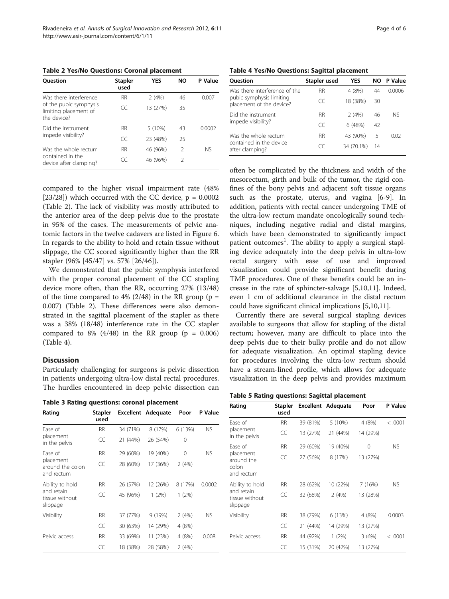<span id="page-3-0"></span>Table 2 Yes/No Questions: Coronal placement

| <b>Ouestion</b>                                                | <b>Stapler</b><br>used | YES      | NΟ            | P Value   |
|----------------------------------------------------------------|------------------------|----------|---------------|-----------|
| Was there interference                                         | <b>RR</b>              | 2(4%)    | 46            | 0.007     |
| of the pubic symphysis<br>limiting placement of<br>the device? | $\subset\subset$       | 13 (27%) | 35            |           |
| Did the instrument                                             | <b>RR</b>              | 5(10%)   | 43            | 0.0002    |
| impede visibility?                                             | $\subset\subset$       | 23 (48%) | 25            |           |
| Was the whole rectum                                           | <b>RR</b>              | 46 (96%) | $\mathcal{P}$ | <b>NS</b> |
| contained in the<br>device after clamping?                     | СC                     | 46 (96%) | 2             |           |

compared to the higher visual impairment rate (48% [ $23/28$ ]) which occurred with the CC device,  $p = 0.0002$ (Table 2). The lack of visibility was mostly attributed to the anterior area of the deep pelvis due to the prostate in 95% of the cases. The measurements of pelvic anatomic factors in the twelve cadavers are listed in Figure [6](#page-4-0). In regards to the ability to hold and retain tissue without slippage, the CC scored significantly higher than the RR stapler (96% [45/47] vs. 57% [26/46]).

We demonstrated that the pubic symphysis interfered with the proper coronal placement of the CC stapling device more often, than the RR, occurring 27% (13/48) of the time compared to 4% (2/48) in the RR group ( $p =$ 0.007) (Table 2). These differences were also demonstrated in the sagittal placement of the stapler as there was a 38% (18/48) interference rate in the CC stapler compared to 8%  $(4/48)$  in the RR group (p = 0.006) (Table 4).

# **Discussion**

Particularly challenging for surgeons is pelvic dissection in patients undergoing ultra-low distal rectal procedures. The hurdles encountered in deep pelvic dissection can

Table 3 Rating questions: coronal placement

| Rating                                      | <b>Stapler</b><br>used |          | <b>Excellent Adequate</b> | Poor    | P Value   |
|---------------------------------------------|------------------------|----------|---------------------------|---------|-----------|
| Ease of                                     | RR                     | 34 (71%) | 8 (17%)                   | 6 (13%) | NS.       |
| placement<br>in the pelvis                  | CC                     | 21 (44%) | 26 (54%)                  | 0       |           |
| Fase of                                     | RR                     | 29 (60%) | 19 (40%)                  | 0       | <b>NS</b> |
| placement<br>around the colon<br>and rectum | CC                     | 28 (60%) | 17 (36%)                  | 2(4%)   |           |
| Ability to hold                             | RR                     | 26 (57%) | 12 (26%)                  | 8 (17%) | 0.0002    |
| and retain<br>tissue without<br>slippage    | CC                     | 45 (96%) | 1(2%)                     | 1(2%)   |           |
| Visibility                                  | RR.                    | 37 (77%) | 9 (19%)                   | 2(4%)   | <b>NS</b> |
|                                             | CC                     | 30 (63%) | 14 (29%)                  | 4 (8%)  |           |
| Pelvic access                               | <b>RR</b>              | 33 (69%) | 11 (23%)                  | 4 (8%)  | 0.008     |
|                                             | CC                     | 18 (38%) | 28 (58%)                  | 2(4%)   |           |

Table 4 Yes/No Questions: Sagittal placement

| <b>Ouestion</b>                                      | Stapler used | <b>YES</b> | NO. | P Value   |
|------------------------------------------------------|--------------|------------|-----|-----------|
| Was there interference of the                        | <b>RR</b>    | 4 (8%)     | 44  | 0.0006    |
| pubic symphysis limiting<br>placement of the device? | CC           | 18 (38%)   | 30  |           |
| Did the instrument                                   | <b>RR</b>    | 2(4%)      | 46  | <b>NS</b> |
| impede visibility?                                   | CC           | 6(48%)     | 42  |           |
| Was the whole rectum                                 | <b>RR</b>    | 43 (90%)   | 5   | 0.02      |
| contained in the device<br>after clamping?           | CC           | 34 (70.1%) | 14  |           |

often be complicated by the thickness and width of the mesorectum, girth and bulk of the tumor, the rigid confines of the bony pelvis and adjacent soft tissue organs such as the prostate, uterus, and vagina [[6-9](#page-5-0)]. In addition, patients with rectal cancer undergoing TME of the ultra-low rectum mandate oncologically sound techniques, including negative radial and distal margins, which have been demonstrated to significantly impact patient outcomes<sup>1</sup>. The ability to apply a surgical stapling device adequately into the deep pelvis in ultra-low rectal surgery with ease of use and improved visualization could provide significant benefit during TME procedures. One of these benefits could be an increase in the rate of sphincter-salvage [[5](#page-5-0),[10](#page-5-0),[11](#page-5-0)]. Indeed, even 1 cm of additional clearance in the distal rectum could have significant clinical implications [\[5,10,11](#page-5-0)].

Currently there are several surgical stapling devices available to surgeons that allow for stapling of the distal rectum; however, many are difficult to place into the deep pelvis due to their bulky profile and do not allow for adequate visualization. An optimal stapling device for procedures involving the ultra-low rectum should have a stream-lined profile, which allows for adequate visualization in the deep pelvis and provides maximum

Table 5 Rating questions: Sagittal placement

| Rating                                         | Stapler<br>used |          | <b>Excellent Adequate</b> | Poor     | P Value   |
|------------------------------------------------|-----------------|----------|---------------------------|----------|-----------|
| Ease of<br>placement<br>in the pelvis          | <b>RR</b>       | 39 (81%) | 5 (10%)                   | 4 (8%)   | < .0001   |
|                                                | CC              | 13 (27%) | 21 (44%)                  | 14 (29%) |           |
| Fase of                                        | <b>RR</b>       | 29 (60%) | 19 (40%)                  | 0        | <b>NS</b> |
| placement<br>around the<br>colon<br>and rectum | CC              | 27 (56%) | 8 (17%)                   | 13 (27%) |           |
| Ability to hold                                | <b>RR</b>       | 28 (62%) | 10 (22%)                  | 7(16%)   | <b>NS</b> |
| and retain<br>tissue without<br>slippage       | CC              | 32 (68%) | 2(4%)                     | 13 (28%) |           |
| Visibility                                     | <b>RR</b>       | 38 (79%) | 6 (13%)                   | 4 (8%)   | 0.0003    |
|                                                | CC              | 21 (44%) | 14 (29%)                  | 13 (27%) |           |
| Pelvic access                                  | <b>RR</b>       | 44 (92%) | 1(2%)                     | 3(6%)    | < 0.001   |
|                                                | CC              | 15 (31%) | 20 (42%)                  | 13 (27%) |           |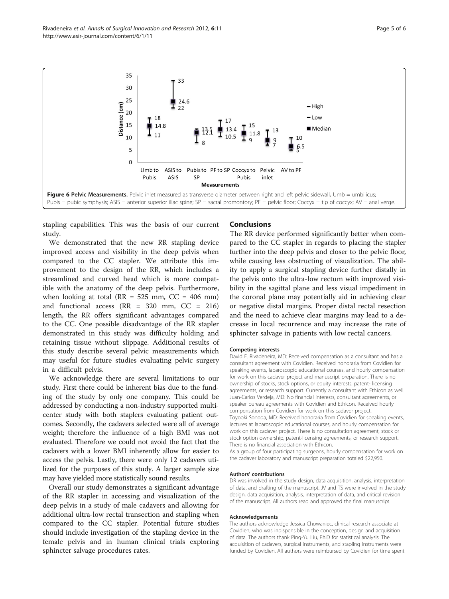stapling capabilities. This was the basis of our current study.

We demonstrated that the new RR stapling device improved access and visibility in the deep pelvis when compared to the CC stapler. We attribute this improvement to the design of the RR, which includes a streamlined and curved head which is more compatible with the anatomy of the deep pelvis. Furthermore, when looking at total ( $RR = 525$  mm,  $CC = 406$  mm) and functional access (RR = 320 mm, CC = 216) length, the RR offers significant advantages compared to the CC. One possible disadvantage of the RR stapler demonstrated in this study was difficulty holding and retaining tissue without slippage. Additional results of this study describe several pelvic measurements which may useful for future studies evaluating pelvic surgery in a difficult pelvis.

We acknowledge there are several limitations to our study. First there could be inherent bias due to the funding of the study by only one company. This could be addressed by conducting a non-industry supported multicenter study with both staplers evaluating patient outcomes. Secondly, the cadavers selected were all of average weight; therefore the influence of a high BMI was not evaluated. Therefore we could not avoid the fact that the cadavers with a lower BMI inherently allow for easier to access the pelvis. Lastly, there were only 12 cadavers utilized for the purposes of this study. A larger sample size may have yielded more statistically sound results.

Overall our study demonstrates a significant advantage of the RR stapler in accessing and visualization of the deep pelvis in a study of male cadavers and allowing for additional ultra-low rectal transection and stapling when compared to the CC stapler. Potential future studies should include investigation of the stapling device in the female pelvis and in human clinical trials exploring sphincter salvage procedures rates.

#### Conclusions

The RR device performed significantly better when compared to the CC stapler in regards to placing the stapler further into the deep pelvis and closer to the pelvic floor, while causing less obstructing of visualization. The ability to apply a surgical stapling device further distally in the pelvis onto the ultra-low rectum with improved visibility in the sagittal plane and less visual impediment in the coronal plane may potentially aid in achieving clear or negative distal margins. Proper distal rectal resection and the need to achieve clear margins may lead to a decrease in local recurrence and may increase the rate of sphincter salvage in patients with low rectal cancers.

#### Competing interests

David E. Rivadeneira, MD: Received compensation as a consultant and has a consultant agreement with Covidien. Received honoraria from Covidien for speaking events, laparoscopic educational courses, and hourly compensation for work on this cadaver project and manuscript preparation. There is no ownership of stocks, stock options, or equity interests, patent- licensing agreements, or research support. Currently a consultant with Ethicon as well. Juan-Carlos Verdeja, MD: No financial interests, consultant agreements, or speaker bureau agreements with Covidien and Ethicon. Received hourly compensation from Covidien for work on this cadaver project. Toyooki Sonoda, MD: Received honoraria from Covidien for speaking events, lectures at laparoscopic educational courses, and hourly compensation for work on this cadaver project. There is no consultation agreement, stock or stock option ownership, patent-licensing agreements, or research support. There is no financial association with Ethicon.

As a group of four participating surgeons, hourly compensation for work on the cadaver laboratory and manuscript preparation totaled \$22,950.

#### Authors' contributions

DR was involved in the study design, data acquisition, analysis, interpretation of data, and drafting of the manuscript. JV and TS were involved in the study design, data acquisition, analysis, interpretation of data, and critical revision of the manuscript. All authors read and approved the final manuscript.

#### Acknowledgements

The authors acknowledge Jessica Chowaniec, clinical research associate at Covidien, who was indispensible in the conception, design and acquisition of data. The authors thank Ping-Yu Liu, Ph.D for statistical analysis. The acquisition of cadavers, surgical instruments, and stapling instruments were funded by Covidien. All authors were reimbursed by Covidien for time spent

<span id="page-4-0"></span>